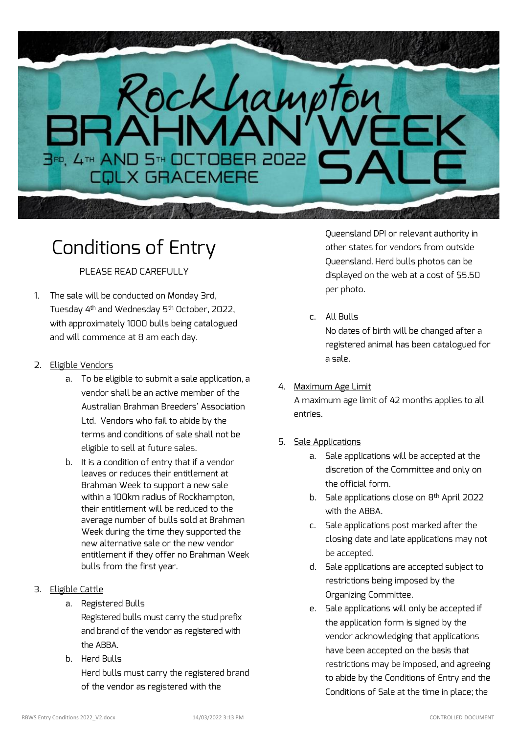# Rockhampton **BRD, 4th AND 5th OCTOBER 2022**

# Conditions of Entry

# PLEASE READ CAREFULLY

1. The sale will be conducted on Monday 3rd, Tuesday 4th and Wednesday 5th October, 2022, with approximately 1000 bulls being catalogued and will commence at 8 am each day.

# 2. Eligible Vendors

- a. To be eligible to submit a sale application, a vendor shall be an active member of the Australian Brahman Breeders' Association Ltd. Vendors who fail to abide by the terms and conditions of sale shall not be eligible to sell at future sales.
- b. It is a condition of entry that if a vendor leaves or reduces their entitlement at Brahman Week to support a new sale within a 100km radius of Rockhampton, their entitlement will be reduced to the average number of bulls sold at Brahman Week during the time they supported the new alternative sale or the new vendor entitlement if they offer no Brahman Week bulls from the first year.
- 3. Eligible Cattle
	- a. Registered Bulls
		- Registered bulls must carry the stud prefix and brand of the vendor as registered with the ABBA
	- b. Herd Bulls Herd bulls must carry the registered brand of the vendor as registered with the

Queensland DPI or relevant authority in other states for vendors from outside Queensland. Herd bulls photos can be displayed on the web at a cost of \$5.50 per photo.

# c. All Bulls

No dates of birth will be changed after a registered animal has been catalogued for a sale.

## 4. Maximum Age Limit

A maximum age limit of 42 months applies to all entries.

# 5. Sale Applications

- a. Sale applications will be accepted at the discretion of the Committee and only on the official form.
- b. Sale applications close on 8th April 2022 with the ARRA
- c. Sale applications post marked after the closing date and late applications may not be accepted.
- d. Sale applications are accepted subject to restrictions being imposed by the Organizing Committee.
- e. Sale applications will only be accepted if the application form is signed by the vendor acknowledging that applications have been accepted on the basis that restrictions may be imposed, and agreeing to abide by the Conditions of Entry and the Conditions of Sale at the time in place; the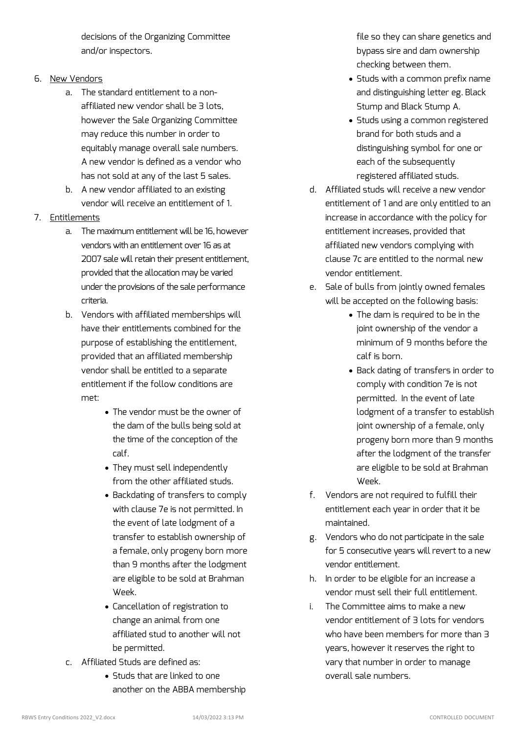decisions of the Organizing Committee and/or inspectors.

#### 6. New Vendors

- a. The standard entitlement to a nonaffiliated new vendor shall be 3 lots, however the Sale Organizing Committee may reduce this number in order to equitably manage overall sale numbers. A new vendor is defined as a vendor who has not sold at any of the last 5 sales.
- b. A new vendor affiliated to an existing vendor will receive an entitlement of 1.
- 7. Entitlements
	- a. The maximum entitlement will be 16, however vendors with an entitlement over 16 as at 2007 sale will retain their present entitlement, provided that the allocation may be varied under the provisions of the sale performance criteria.
	- b. Vendors with affiliated memberships will have their entitlements combined for the purpose of establishing the entitlement, provided that an affiliated membership vendor shall be entitled to a separate entitlement if the follow conditions are met:
		- The vendor must be the owner of the dam of the bulls being sold at the time of the conception of the calf.
		- They must sell independently from the other affiliated studs.
		- Backdating of transfers to comply with clause 7e is not permitted. In the event of late lodgment of a transfer to establish ownership of a female, only progeny born more than 9 months after the lodgment are eligible to be sold at Brahman Week.
		- Cancellation of registration to change an animal from one affiliated stud to another will not be permitted.
	- c. Affiliated Studs are defined as:
		- Studs that are linked to one another on the ABBA membership

file so they can share genetics and bypass sire and dam ownership checking between them.

- Studs with a common prefix name and distinguishing letter eg. Black Stump and Black Stump A.
- Studs using a common registered brand for both studs and a distinguishing symbol for one or each of the subsequently registered affiliated studs.
- d. Affiliated studs will receive a new vendor entitlement of 1 and are only entitled to an increase in accordance with the policy for entitlement increases, provided that affiliated new vendors complying with clause 7c are entitled to the normal new vendor entitlement.
- e. Sale of bulls from jointly owned females will be accepted on the following basis:
	- The dam is required to be in the joint ownership of the vendor a minimum of 9 months before the calf is born.
	- Back dating of transfers in order to comply with condition 7e is not permitted. In the event of late lodgment of a transfer to establish joint ownership of a female, only progeny born more than 9 months after the lodgment of the transfer are eligible to be sold at Brahman Week.
- f. Vendors are not required to fulfill their entitlement each year in order that it be maintained.
- g. Vendors who do not participate in the sale for 5 consecutive years will revert to a new vendor entitlement.
- h. In order to be eligible for an increase a vendor must sell their full entitlement.
- i. The Committee aims to make a new vendor entitlement of 3 lots for vendors who have been members for more than 3 years, however it reserves the right to vary that number in order to manage overall sale numbers.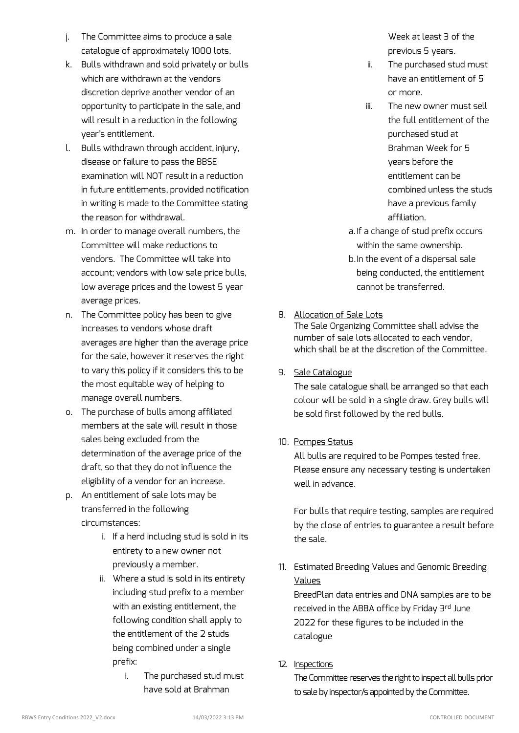- j. The Committee aims to produce a sale catalogue of approximately 1000 lots.
- k. Bulls withdrawn and sold privately or bulls which are withdrawn at the vendors discretion deprive another vendor of an opportunity to participate in the sale, and will result in a reduction in the following year's entitlement.
- l. Bulls withdrawn through accident, injury, disease or failure to pass the BBSE examination will NOT result in a reduction in future entitlements, provided notification in writing is made to the Committee stating the reason for withdrawal.
- m. In order to manage overall numbers, the Committee will make reductions to vendors. The Committee will take into account; vendors with low sale price bulls, low average prices and the lowest 5 year average prices.
- n. The Committee policy has been to give increases to vendors whose draft averages are higher than the average price for the sale, however it reserves the right to vary this policy if it considers this to be the most equitable way of helping to manage overall numbers.
- o. The purchase of bulls among affiliated members at the sale will result in those sales being excluded from the determination of the average price of the draft, so that they do not influence the eligibility of a vendor for an increase.
- p. An entitlement of sale lots may be transferred in the following circumstances:
	- i. If a herd including stud is sold in its entirety to a new owner not previously a member.
	- ii. Where a stud is sold in its entirety including stud prefix to a member with an existing entitlement, the following condition shall apply to the entitlement of the 2 studs being combined under a single prefix:
		- i. The purchased stud must have sold at Brahman

Week at least 3 of the previous 5 years.

- ii. The purchased stud must have an entitlement of 5 or more.
- iii. The new owner must sell the full entitlement of the purchased stud at Brahman Week for 5 years before the entitlement can be combined unless the studs have a previous family affiliation.
- a.If a change of stud prefix occurs within the same ownership.
- b.In the event of a dispersal sale being conducted, the entitlement cannot be transferred.

## 8. Allocation of Sale Lots

The Sale Organizing Committee shall advise the number of sale lots allocated to each vendor, which shall be at the discretion of the Committee.

## 9. Sale Catalogue

The sale catalogue shall be arranged so that each colour will be sold in a single draw. Grey bulls will be sold first followed by the red bulls.

## 10. Pompes Status

All bulls are required to be Pompes tested free. Please ensure any necessary testing is undertaken well in advance.

For bulls that require testing, samples are required by the close of entries to guarantee a result before the sale.

11. Estimated Breeding Values and Genomic Breeding Values

BreedPlan data entries and DNA samples are to be received in the ABBA office by Friday 3rd June 2022 for these figures to be included in the catalogue

#### 12. Inspections

The Committee reserves the right to inspect all bulls prior to sale by inspector/s appointed by the Committee.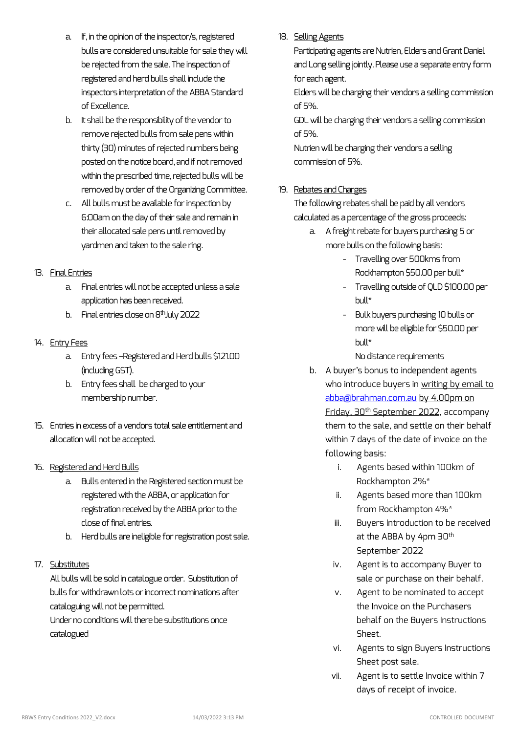- a. If, in the opinion of the inspector/s, registered bulls are considered unsuitable for sale they will be rejected from the sale. The inspection of registered and herd bulls shall include the inspectors interpretation of the ABBA Standard of Excellence.
- b. It shall be the responsibility of the vendor to remove rejected bulls from sale pens within thirty (30) minutes of rejected numbers being posted on the notice board, and if not removed within the prescribed time, rejected bulls will be removed by order of the Organizing Committee.
- c. All bulls must be available for inspection by 6:00am on the day of their sale and remain in their allocated sale pens until removed by yardmen and taken to the sale ring.

#### 13. Final Entries

- a. Final entries will not be accepted unless a sale application has been received.
- b. Final entries close on  $8<sup>th</sup>$ July 2022

#### 14. Entry Fees

- a. Entry fees –Registered and Herd bulls \$121.00 (including GST).
- b. Entry fees shall be charged to your membership number.
- 15. Entries in excess of a vendors total sale entitlement and allocation will not be accepted.

#### 16. Registered and Herd Bulls

- a. Bulls entered in the Registered section must be registered with the ABBA, or application for registration received by the ABBA prior to the close of final entries.
- b. Herd bulls are ineligible for registration post sale.

## 17. Substitutes

All bulls will be sold in catalogue order. Substitution of bulls for withdrawn lots or incorrect nominations after cataloguing will not be permitted.

Under no conditions will there be substitutions once catalogued

#### 18. Selling Agents

Participating agents are Nutrien, Elders and Grant Daniel and Long selling jointly.Please use a separate entry form for each agent.

Elders will be charging their vendors a selling commission of 5%.

GDL will be charging their vendors a selling commission of 5%.

Nutrien will be charging their vendors a selling commission of 5%.

## 19. Rebates and Charges

The following rebates shall be paid by all vendors calculated as a percentage of the gross proceeds:

- a. A freight rebate for buyers purchasing 5 or more bulls on the following basis:
	- Travelling over 500kms from Rockhampton \$50.00 per bull\*
	- Travelling outside of QLD \$100.00 per bull\*
	- Bulk buyers purchasing 10 bulls or more will be eligible for \$50.00 per bull\*

#### No distance requirements

- b. A buyer's bonus to independent agents who introduce buyers in writing by email to [abba@brahman.com.au](mailto:abba@brahman.com.au) by 4.00pm on Friday, 30th September 2022, accompany them to the sale, and settle on their behalf within 7 days of the date of invoice on the following basis:
	- i. Agents based within 100km of Rockhampton 2%\*
	- ii. Agents based more than 100km from Rockhampton 4%\*
	- iii. Buyers Introduction to be received at the ABBA by 4pm 30<sup>th</sup> September 2022
	- iv. Agent is to accompany Buyer to sale or purchase on their behalf.
	- v. Agent to be nominated to accept the Invoice on the Purchasers behalf on the Buyers Instructions Sheet.
	- vi. Agents to sign Buyers Instructions Sheet post sale.
	- vii. Agent is to settle Invoice within 7 days of receipt of invoice.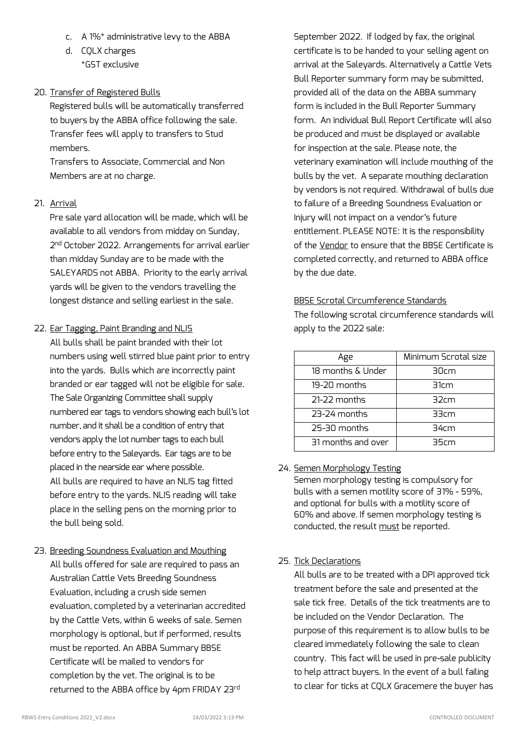- c. A 1%\* administrative levy to the ABBA
- d. CQLX charges \*GST exclusive

## 20. Transfer of Registered Bulls

Registered bulls will be automatically transferred to buyers by the ABBA office following the sale. Transfer fees will apply to transfers to Stud members.

Transfers to Associate, Commercial and Non Members are at no charge.

## 21. Arrival

Pre sale yard allocation will be made, which will be available to all vendors from midday on Sunday, 2 nd October 2022. Arrangements for arrival earlier than midday Sunday are to be made with the SALEYARDS not ABBA. Priority to the early arrival yards will be given to the vendors travelling the longest distance and selling earliest in the sale.

#### 22. Ear Tagging, Paint Branding and NLIS

All bulls shall be paint branded with their lot numbers using well stirred blue paint prior to entry into the yards. Bulls which are incorrectly paint branded or ear tagged will not be eligible for sale. The Sale Organizing Committee shall supply numbered ear tags to vendors showing each bull's lot number, and it shall be a condition of entry that vendors apply the lot number tags to each bull before entry to the Saleyards. Ear tags are to be placed in the nearside ear where possible. All bulls are required to have an NLIS tag fitted before entry to the yards. NLIS reading will take place in the selling pens on the morning prior to the bull being sold.

23. Breeding Soundness Evaluation and Mouthing All bulls offered for sale are required to pass an Australian Cattle Vets Breeding Soundness Evaluation, including a crush side semen evaluation, completed by a veterinarian accredited by the Cattle Vets, within 6 weeks of sale. Semen morphology is optional, but if performed, results must be reported. An ABBA Summary BBSE Certificate will be mailed to vendors for completion by the vet. The original is to be returned to the ABBA office by 4pm FRIDAY 23rd

September 2022. If lodged by fax, the original certificate is to be handed to your selling agent on arrival at the Saleyards. Alternatively a Cattle Vets Bull Reporter summary form may be submitted, provided all of the data on the ABBA summary form is included in the Bull Reporter Summary form. An individual Bull Report Certificate will also be produced and must be displayed or available for inspection at the sale. Please note, the veterinary examination will include mouthing of the bulls by the vet. A separate mouthing declaration by vendors is not required. Withdrawal of bulls due to failure of a Breeding Soundness Evaluation or Injury will not impact on a vendor's future entitlement. PLEASE NOTE: It is the responsibility of the Vendor to ensure that the BBSE Certificate is completed correctly, and returned to ABBA office by the due date.

#### BBSE Scrotal Circumference Standards

The following scrotal circumference standards will apply to the 2022 sale:

| Age                | Minimum Scrotal size |
|--------------------|----------------------|
| 18 months & Under  | 30cm                 |
| 19-20 months       | 31cm                 |
| 21-22 months       | 32cm                 |
| 23-24 months       | 33cm                 |
| 25-30 months       | 34cm                 |
| 31 months and over | 35cm                 |

## 24. Semen Morphology Testing

Semen morphology testing is compulsory for bulls with a semen motility score of 31% - 59%, and optional for bulls with a motility score of 60% and above. If semen morphology testing is conducted, the result must be reported.

## 25. Tick Declarations

All bulls are to be treated with a DPI approved tick treatment before the sale and presented at the sale tick free. Details of the tick treatments are to be included on the Vendor Declaration. The purpose of this requirement is to allow bulls to be cleared immediately following the sale to clean country. This fact will be used in pre-sale publicity to help attract buyers. In the event of a bull failing to clear for ticks at CQLX Gracemere the buyer has